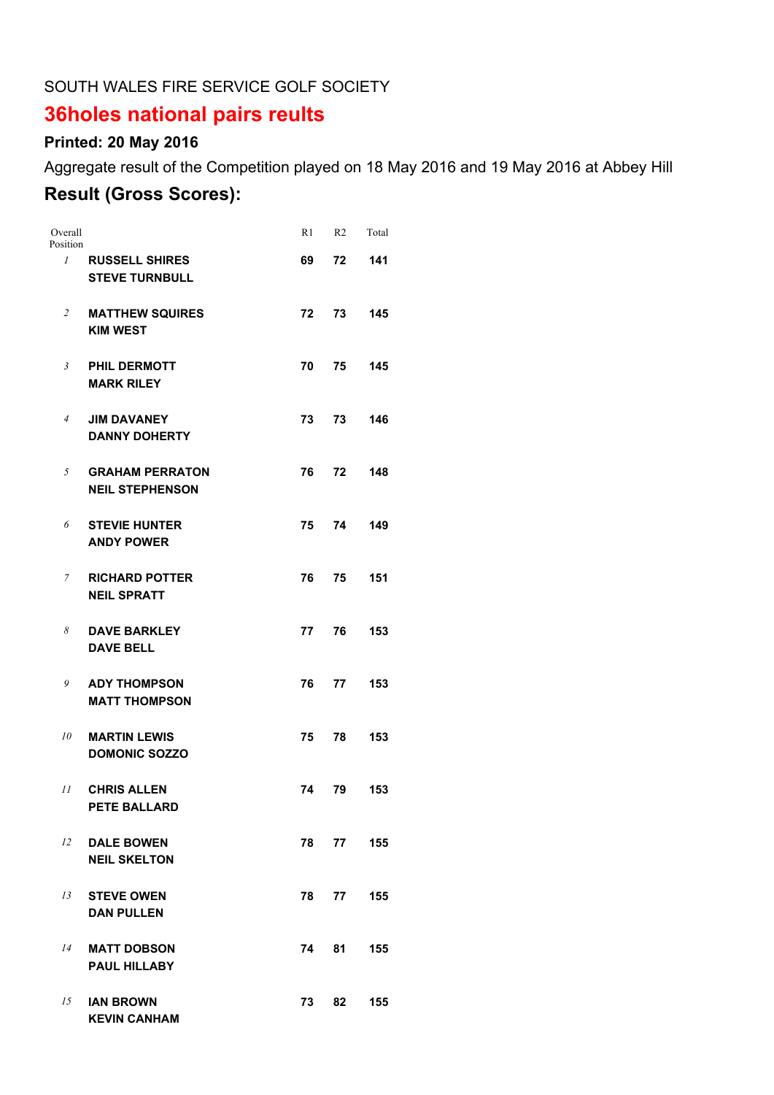#### SOUTH WALES FIRE SERVICE GOLF SOCIETY

# **36holes national pairs reults**

## **Printed: 20 May 2016**

Aggregate result of the Competition played on 18 May 2016 and 19 May 2016 at Abbey Hill

### **Result (Gross Scores):**

| Overall<br>Position |                                                  | R1 | R <sub>2</sub> | Total |
|---------------------|--------------------------------------------------|----|----------------|-------|
| $\mathcal{I}$       | <b>RUSSELL SHIRES</b><br><b>STEVE TURNBULL</b>   | 69 | 72             | 141   |
| $\overline{c}$      | <b>MATTHEW SQUIRES</b><br><b>KIM WEST</b>        | 72 | 73             | 145   |
| $\mathfrak{Z}$      | <b>PHIL DERMOTT</b><br><b>MARK RILEY</b>         | 70 | 75             | 145   |
| $\overline{4}$      | <b>JIM DAVANEY</b><br><b>DANNY DOHERTY</b>       | 73 | 73             | 146   |
| 5                   | <b>GRAHAM PERRATON</b><br><b>NEIL STEPHENSON</b> | 76 | 72             | 148   |
| 6                   | <b>STEVIE HUNTER</b><br><b>ANDY POWER</b>        | 75 | 74             | 149   |
| 7                   | <b>RICHARD POTTER</b><br><b>NEIL SPRATT</b>      | 76 | 75             | 151   |
| 8                   | <b>DAVE BARKLEY</b><br><b>DAVE BELL</b>          | 77 | 76             | 153   |
| 9                   | <b>ADY THOMPSON</b><br><b>MATT THOMPSON</b>      | 76 | 77             | 153   |
| 10                  | <b>MARTIN LEWIS</b><br><b>DOMONIC SOZZO</b>      | 75 | 78             | 153   |
| 11                  | <b>CHRIS ALLEN</b><br><b>PETE BALLARD</b>        | 74 | 79             | 153   |
| 12                  | <b>DALE BOWEN</b><br><b>NEIL SKELTON</b>         | 78 | 77             | 155   |
| 13                  | <b>STEVE OWEN</b><br><b>DAN PULLEN</b>           |    | 78 77          | 155   |
| 14                  | <b>MATT DOBSON</b><br><b>PAUL HILLABY</b>        | 74 | 81             | 155   |
| 15                  | <b>IAN BROWN</b><br><b>KEVIN CANHAM</b>          | 73 | 82             | 155   |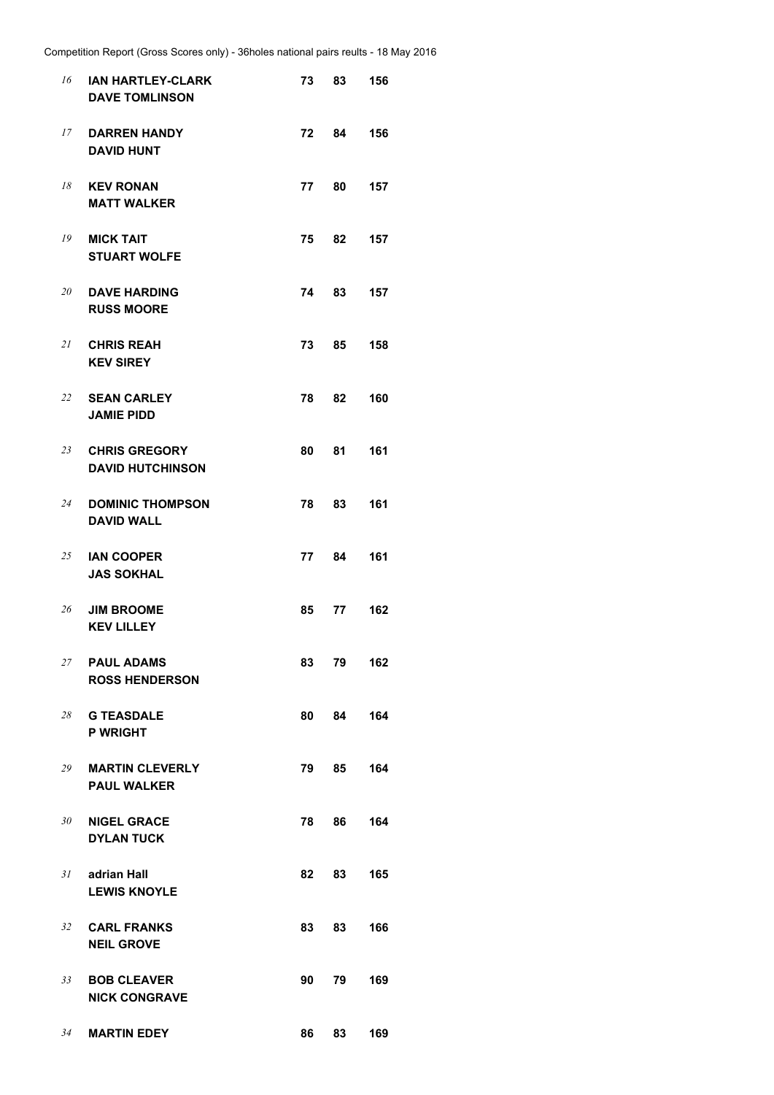| 16 | <b>IAN HARTLEY-CLARK</b><br><b>DAVE TOMLINSON</b> | 73   | 83    | 156 |
|----|---------------------------------------------------|------|-------|-----|
| 17 | <b>DARREN HANDY</b><br><b>DAVID HUNT</b>          | 72   | 84    | 156 |
| 18 | <b>KEV RONAN</b><br><b>MATT WALKER</b>            | 77 - | 80 -  | 157 |
| 19 | <b>MICK TAIT</b><br><b>STUART WOLFE</b>           | 75   | 82    | 157 |
| 20 | <b>DAVE HARDING</b><br><b>RUSS MOORE</b>          | 74   | 83    | 157 |
|    | 21 CHRIS REAH<br><b>KEV SIREY</b>                 | 73 — | 85 —  | 158 |
| 22 | <b>SEAN CARLEY</b><br><b>JAMIE PIDD</b>           | 78   | 82    | 160 |
| 23 | <b>CHRIS GREGORY</b><br><b>DAVID HUTCHINSON</b>   | 80 - | 81    | 161 |
| 24 | <b>DOMINIC THOMPSON</b><br><b>DAVID WALL</b>      | 78 — | 83    | 161 |
| 25 | <b>IAN COOPER</b><br><b>JAS SOKHAL</b>            | 77   | 84    | 161 |
| 26 | <b>JIM BROOME</b><br><b>KEV LILLEY</b>            | 85   | 77 -  | 162 |
| 27 | <b>PAUL ADAMS</b><br><b>ROSS HENDERSON</b>        | 83   | 79    | 162 |
|    | 28 G TEASDALE<br><b>P WRIGHT</b>                  | 80   | 84    | 164 |
| 29 | <b>MARTIN CLEVERLY</b><br><b>PAUL WALKER</b>      | 79 — | 85 -  | 164 |
|    | 30 NIGEL GRACE<br><b>DYLAN TUCK</b>               | 78 — | 86 -  | 164 |
| 31 | adrian Hall<br><b>LEWIS KNOYLE</b>                | 82   | 83    | 165 |
| 32 | <b>CARL FRANKS</b><br><b>NEIL GROVE</b>           | 83   | 83    | 166 |
| 33 | <b>BOB CLEAVER</b><br><b>NICK CONGRAVE</b>        | 90   | 79    | 169 |
| 34 | <b>MARTIN EDEY</b>                                |      | 86 83 | 169 |